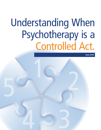## Understanding When Psychotherapy is a Controlled Act.

1

4

June 2016

2

3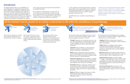## All five elements must be present for an activity or intervention to fall within the controlled act of psychotherapy.



The controlled act of psychotherapy is a smaller aspect of the overall practice of psychotherapy. This document only focuses and lends clarity to the meaning of the controlled act of psychotherapy. It was developed by the five colleges whose members are authorized to perform the controlled act<sup>1</sup>.

## **Introduction**

The *Regulated Health Professions Act, 1991* (RHPA), the governing legislation for regulated health professionals in Ontario, identifies 14 "controlled acts," which may only be performed by regulated health professionals authorized to do so. In the case of the controlled act of psychotherapy, the RHPA also authorizes members of the Ontario College of Social Workers and Social Service Workers, who are regulated under the *Social Work and Social Service Work Act, 1998*, to perform the controlled act. Controlled acts are restricted

The College of Nurses of Ontario; the College of Occupational Therapists of Ontario; the College of Psychologists of Ontario; the College of Registered Psychotherapists of Ontario; and the Ontario College of Social Workers and Social Service Workers.



because of the risk of harm associated with their performance by unqualified individuals.

It assists regulated and unregulated practitioners, employers, patients/clients and the general public to better understand when psychotherapy involves the controlled act, and when it should only be performed by a qualified, regulated professional authorized to do it.

**Emotional regulation** Persistent difficulty controllin emotion or emotional responses that do not appropriately fit the situation. May exhibit marked changes in moods report difficulties with interpersonal relationships.

The RHPA defines the controlled act of psychotherapy as follows:

"Treating, by means of psychotherapy technique, delivered through a therapeutic relationship, an individual's serious disorder of thought, cognition, mood, emotional regulation, perception or memory that may seriously impair<sup>2</sup> the individual's judgment, insight, behaviour, communication or social functioning."

The practitioner responds to an assessed need or diagnosis through the use of therapeutic interventions or techniques.

The treatment involves one or more interventions or approaches based on recognized psychotherapeutic theories, models or frameworks and/or empirical evidence.

The practitioner builds a strong therapeutic alliance with the individual. The relationship between the practitioner and the individual is integral to the treatment and based on clear professional boundaries.

Treating By means of psychotherapy a therapeutic disorder of thought, a therapeutic cognition, mood, emotional regulation, the may seriously impair cognition, mood, emotional regulation, perception or memory

> The descriptions below provide additional clarity on what is meant by a "serious disorder of thought, cognition, mood, emotional regulation, perception or memory."

**Thought** Impairment in concentration, persistence, and pace. May include delusions, or hallucinations, unwanted or intrusive thoughts that distort an individual's ability to discern different states such as reality, fantasy and imagination.

**Cognition** Persistent difficulty in understanding the meaning or importance of something, learning new things, concentrating or making decisions.

**Mood** Prominent and persistent affective disturbance characterized by significant lows (diminished interest or pleasure in all, or almost all, activities) or significant high (elevated, expansive or irritable disposition).

**Perception** Difficulty recognizing or making sense of sensory stimuli needed to understand, learn or prompt a particular action or reaction; may be accompanied by diminished, exaggerated, distorted or impaired response the stimuli.

**Memory** Difficulty storing and retrieving or recalling information about their abilities and previously experienced connections, sensations, impressions, information or ideas.

| Ś             | The descriptions below provide additional clarity regarding<br>"seriously impair the individual's judgment, insight, behaviour,                                                                                                                                                                                     |
|---------------|---------------------------------------------------------------------------------------------------------------------------------------------------------------------------------------------------------------------------------------------------------------------------------------------------------------------|
|               | communication or social functioning."                                                                                                                                                                                                                                                                               |
| d<br>d        | Judgment Difficulty making sound, reasoned or<br>responsible decisions and contingencies. Reduced ability to<br>predict and anticipate.                                                                                                                                                                             |
|               | <b>Insight</b> Difficulty recognizing mistakes, drawing<br>connections between a problem, action and its<br>consequences; lack of awareness of the impact behavior<br>may have on oneself and/or others; may have difficulty<br>formulating a plan.                                                                 |
| hs            | <b>Behaviour</b> Difficulty maintaining conduct within the<br>limits prescribed by major societal norms, laws, rules; may<br>violate the rights of others or disregard safety of self.                                                                                                                              |
| ıg<br>y<br>or | <b>Communication</b> Difficulty receiving, sending,<br>processing or comprehending concepts or words in context<br>- verbally or nonverbally; may use words and meanings<br>inappropriately, may not be able to follow directions; may<br>have trouble getting others to understand what they are<br>communicating. |
| to            | Social Functioning Difficulty with day-to-day<br>functioning that interferes with performance at work or<br>school, in relationships, taking care of self or connecting                                                                                                                                             |

with others.

the individual's judgment, insight, behaviour, communication or social functioning

By means of psychotherapy technique

Delivered through a therapeutic relationship





 $^2$  Individuals may show less serious impairment when they are taking medications and/or receiving other treatment services that reduce the symptoms of the disorder. The practitioner must take into account the extent of the impairment that could result if the individual discontinued the medications or other treatment services.